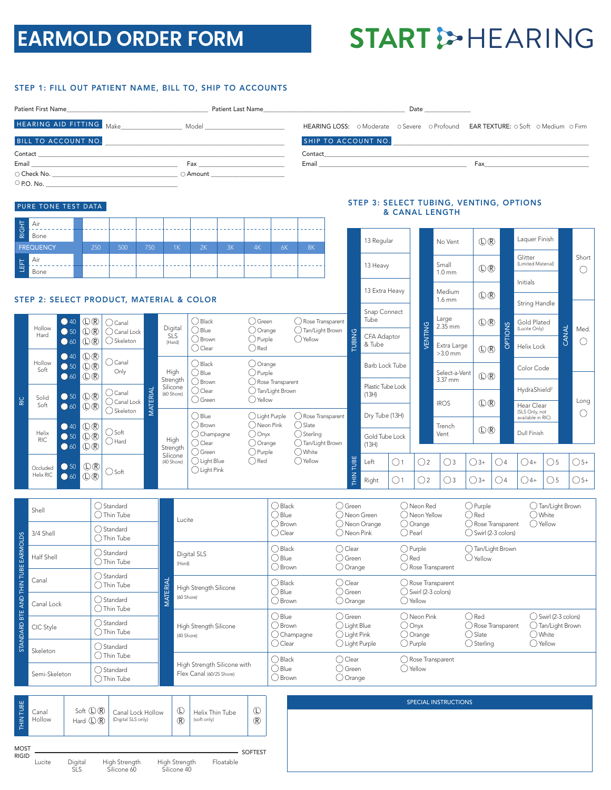# **EARMOLD ORDER FORM**

STEP 2: SELECT PRODUCT, MATERIAL & COLOR

 $\bigcirc$  Canal Canal Lock  $\breve{\bigcirc}$  Skeleton

 $\bigcirc$  Canal Only

 $\bigcirc$  Canal Canal Lock  $\bigcirc$  Skeleton

MATERIAL

**VIATERIAI** 

 $\bigcirc$  Soft Hard

# **START :>HEARING**

## STEP 1: FILL OUT PATIENT NAME, BILL TO, SHIP TO ACCOUNTS

|                                                                                                                        |                                                                                                                                                                                                                                |                                                                                                                                                                                                                                      | Date ________________ |                                                                                                                                                                                                                                |
|------------------------------------------------------------------------------------------------------------------------|--------------------------------------------------------------------------------------------------------------------------------------------------------------------------------------------------------------------------------|--------------------------------------------------------------------------------------------------------------------------------------------------------------------------------------------------------------------------------------|-----------------------|--------------------------------------------------------------------------------------------------------------------------------------------------------------------------------------------------------------------------------|
| HEARING AID FITTING Make                                                                                               | Model _________________                                                                                                                                                                                                        |                                                                                                                                                                                                                                      |                       | HEARING LOSS: O Moderate O Severe O Profound EAR TEXTURE: O Soft O Medium O Firm                                                                                                                                               |
| BILL TO ACCOUNT NO.                                                                                                    |                                                                                                                                                                                                                                | SHIP TO ACCOUNT NO.                                                                                                                                                                                                                  |                       |                                                                                                                                                                                                                                |
|                                                                                                                        |                                                                                                                                                                                                                                |                                                                                                                                                                                                                                      |                       |                                                                                                                                                                                                                                |
| Email <b>Executive Service Service Service Service</b> Service Service Service Service Service Service Service Service | Fax and the contract of the contract of the contract of the contract of the contract of the contract of the contract of the contract of the contract of the contract of the contract of the contract of the contract of the co | Email <b>Exercise Contract Contract Contract Contract Contract Contract Contract Contract Contract Contract Contract Contract Contract Contract Contract Contract Contract Contract Contract Contract Contract Contract Contract</b> |                       | Fax and the contract of the contract of the contract of the contract of the contract of the contract of the contract of the contract of the contract of the contract of the contract of the contract of the contract of the co |
|                                                                                                                        | $\bigcirc$ Amount                                                                                                                                                                                                              |                                                                                                                                                                                                                                      |                       |                                                                                                                                                                                                                                |
|                                                                                                                        |                                                                                                                                                                                                                                |                                                                                                                                                                                                                                      |                       |                                                                                                                                                                                                                                |
|                                                                                                                        |                                                                                                                                                                                                                                |                                                                                                                                                                                                                                      |                       |                                                                                                                                                                                                                                |

## PURE TONE TEST DATA

RIC

Hollow Hard

Hollow Soft

> Solid Soft

Helix RIC

Occluded Helix RIC ●40 ●50  $\bullet$ 60

**640** ●50 60

●50 60

●50 60  $\mathbb{D} \times$  $\mathbb{O} \mathbb{R}$  $\mathbb{O} \times$ 

 $\overline{\mathbb{O}}$  $\overline{\mathbb{O}}$  $Q$ 

 $\mathbb{O} \mathbb{R}$  $\mathbb{O} \times$ 

 $\mathbb{O} \times$  $\mathbb{O} \mathbb{R}$  $\mathbb{O} \mathbb{R}$ 

 $\mathbb{O} \times$  $\begin{array}{c} 1 & \text{or} \\ \text{OR} & \text{O} \end{array}$ 

| $\vdash$     | Air              |     |     |     |                |    |    |    |    |    |
|--------------|------------------|-----|-----|-----|----------------|----|----|----|----|----|
| <b>RIGHT</b> | Bone             |     |     |     |                |    |    |    |    |    |
|              | <b>FREQUENCY</b> | 250 | 500 | 750 | 1 <sub>K</sub> | 2K | 3K | 4k | 6K | 8K |
|              | Air              |     |     |     |                |    |    |    |    |    |
| 闯            | Bone             |     |     |     |                |    |    |    |    |    |

Digital SLS (Hard)

High **Strength Silicone** (60 Shore)

High **Strength Silicone** (40 Shore)

T

 $\bigcirc$  Black  $\tilde{O}$  Blue ◯ Brown O Clear

 $\bigcirc$  Black  $\tilde{\bigcirc}$  Blue O Brown  $\bigcirc$  Clear Green

 $\bigcirc$  Blue ◯ Brown

 $\bigcirc$  Clear Green

#### STEP 3: SELECT TUBING, VENTING, OPTIONS & CANAL LENGTH



|                                     | Shell           |                                                  | ( ) Standard<br>◯ Thin Tube                                      |                 | Lucite                                                                       |                                | ( ) Black<br>$\bigcirc$ Blue<br>◯ Brown            | ( ) Green<br>○ Neon Green<br>() Neon Orange               | ( ) Neon Red<br>◯ Neon Yellow<br>$\bigcirc$ Orange        | ( ) Purple<br>∩ Red<br>Rose Transparent           | ◯ Tan/Light Brown<br>◯White<br>◯ Yellow             |  |
|-------------------------------------|-----------------|--------------------------------------------------|------------------------------------------------------------------|-----------------|------------------------------------------------------------------------------|--------------------------------|----------------------------------------------------|-----------------------------------------------------------|-----------------------------------------------------------|---------------------------------------------------|-----------------------------------------------------|--|
| STANDARD BTE AND THIN TUBE EARMOLDS | 3/4 Shell       |                                                  | $\bigcirc$ Standard<br>$\bigcirc$ Thin Tube                      |                 |                                                                              |                                | $\bigcirc$ Clear                                   | ◯ Neon Pink                                               | $\bigcirc$ Pearl                                          | ◯ Swirl (2-3 colors)                              |                                                     |  |
|                                     | Half Shell      |                                                  | ◯ Standard<br>◯ Thin Tube                                        |                 | Digital SLS<br>(Hard)                                                        |                                | $\bigcirc$ Black<br>$\bigcap$ Blue<br>◯ Brown      | $\bigcirc$ Clear<br>○ Green<br>O Orange                   | $\bigcirc$ Purple<br>$\bigcirc$ Red<br>◯ Rose Transparent | ◯ Tan/Light Brown<br>$\bigcirc$ Yellow            |                                                     |  |
|                                     | Canal           |                                                  | ◯ Standard<br>◯ Thin Tube                                        | <b>MATERIAL</b> | High Strength Silicone<br>(60 Shore)<br>High Strength Silicone<br>(40 Shore) |                                | $\bigcirc$ Black<br>$\bigcirc$ Blue                | $\bigcirc$ Clear<br>◯ Green                               | Rose Transparent<br>Swirl (2-3 colors)                    |                                                   |                                                     |  |
|                                     | Canal Lock      |                                                  | $\bigcap$ Standard<br>( ) Thin Tube<br>◯ Standard<br>◯ Thin Tube |                 |                                                                              |                                | ◯ Brown                                            | ◯ Orange                                                  | ◯ Yellow                                                  |                                                   |                                                     |  |
|                                     | CIC Style       |                                                  |                                                                  |                 |                                                                              |                                | $\bigcirc$ Blue<br>O Brown<br>$\bigcirc$ Champagne | ○ Green<br>$\bigcirc$ Light Blue<br>$\bigcirc$ Light Pink | ( ) Neon Pink<br>$\bigcirc$ Onyx<br>$\bigcirc$ Orange     | $\bigcirc$ Red<br>() Rose Transparent<br>() Slate | Swirl (2-3 colors)<br>◯ Tan/Light Brown<br>() White |  |
|                                     | Skeleton        |                                                  | ◯ Standard<br>$\bigcap$ Thin Tube                                |                 |                                                                              |                                | $\bigcirc$ Clear                                   | ◯ Light Purple                                            | $\bigcirc$ Purple                                         | $\bigcirc$ Sterling                               | $\bigcirc$ Yellow                                   |  |
|                                     |                 |                                                  |                                                                  |                 | High Strength Silicone with                                                  |                                | $\bigcirc$ Black<br>$\bigcirc$ Blue                | $\bigcirc$ Clear<br>() Green                              | () Rose Transparent<br>◯ Yellow                           |                                                   |                                                     |  |
|                                     | Semi-Skeleton   |                                                  | ◯ Standard<br>$\bigcirc$ Thin Tube                               |                 | Flex Canal (60/25 Shore)                                                     |                                | O Brown                                            | O Orange                                                  |                                                           |                                                   |                                                     |  |
|                                     |                 |                                                  |                                                                  |                 |                                                                              |                                |                                                    |                                                           |                                                           |                                                   |                                                     |  |
| THIN TUBE                           | Canal<br>Hollow | Soft <i>Q R</i><br>Hard $\mathbb{O}(\mathbb{R})$ | Canal Lock Hollow<br>(Digital SLS only)                          |                 | $\mathbb{O}$<br>(R)                                                          | Helix Thin Tube<br>(soft only) | $\mathbb{O}$<br>(R)                                |                                                           |                                                           | SPECIAL INSTRUCTIONS                              |                                                     |  |
| <b>MOST</b>                         |                 |                                                  |                                                                  |                 |                                                                              |                                |                                                    |                                                           |                                                           |                                                   |                                                     |  |
| <b>RIGID</b>                        | Lucite          | Digital                                          | High Strenath                                                    |                 | High Strenath                                                                | Floatable                      | <b>SOFTEST</b>                                     |                                                           |                                                           |                                                   |                                                     |  |

Lucite Digital

SLS

Silicone 60

Silicone 40